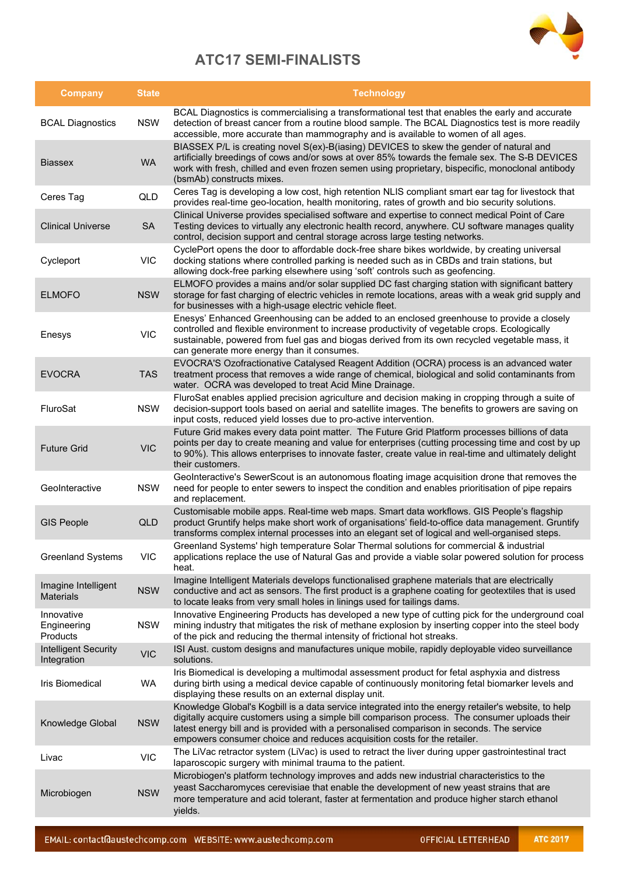

## **ATC17 SEMI-FINALISTS**

| <b>Company</b>                             | <b>State</b> | <b>Technology</b>                                                                                                                                                                                                                                                                                                                                                              |
|--------------------------------------------|--------------|--------------------------------------------------------------------------------------------------------------------------------------------------------------------------------------------------------------------------------------------------------------------------------------------------------------------------------------------------------------------------------|
| <b>BCAL Diagnostics</b>                    | <b>NSW</b>   | BCAL Diagnostics is commercialising a transformational test that enables the early and accurate<br>detection of breast cancer from a routine blood sample. The BCAL Diagnostics test is more readily<br>accessible, more accurate than mammography and is available to women of all ages.                                                                                      |
| <b>Biassex</b>                             | <b>WA</b>    | BIASSEX P/L is creating novel S(ex)-B(iasing) DEVICES to skew the gender of natural and<br>artificially breedings of cows and/or sows at over 85% towards the female sex. The S-B DEVICES<br>work with fresh, chilled and even frozen semen using proprietary, bispecific, monoclonal antibody<br>(bsmAb) constructs mixes.                                                    |
| Ceres Tag                                  | QLD          | Ceres Tag is developing a low cost, high retention NLIS compliant smart ear tag for livestock that<br>provides real-time geo-location, health monitoring, rates of growth and bio security solutions.                                                                                                                                                                          |
| <b>Clinical Universe</b>                   | <b>SA</b>    | Clinical Universe provides specialised software and expertise to connect medical Point of Care<br>Testing devices to virtually any electronic health record, anywhere. CU software manages quality<br>control, decision support and central storage across large testing networks.                                                                                             |
| Cycleport                                  | <b>VIC</b>   | CyclePort opens the door to affordable dock-free share bikes worldwide, by creating universal<br>docking stations where controlled parking is needed such as in CBDs and train stations, but<br>allowing dock-free parking elsewhere using 'soft' controls such as geofencing.                                                                                                 |
| <b>ELMOFO</b>                              | <b>NSW</b>   | ELMOFO provides a mains and/or solar supplied DC fast charging station with significant battery<br>storage for fast charging of electric vehicles in remote locations, areas with a weak grid supply and<br>for businesses with a high-usage electric vehicle fleet.                                                                                                           |
| Enesys                                     | <b>VIC</b>   | Enesys' Enhanced Greenhousing can be added to an enclosed greenhouse to provide a closely<br>controlled and flexible environment to increase productivity of vegetable crops. Ecologically<br>sustainable, powered from fuel gas and biogas derived from its own recycled vegetable mass, it<br>can generate more energy than it consumes.                                     |
| <b>EVOCRA</b>                              | <b>TAS</b>   | EVOCRA'S Ozofractionative Catalysed Reagent Addition (OCRA) process is an advanced water<br>treatment process that removes a wide range of chemical, biological and solid contaminants from<br>water. OCRA was developed to treat Acid Mine Drainage.                                                                                                                          |
| FluroSat                                   | <b>NSW</b>   | FluroSat enables applied precision agriculture and decision making in cropping through a suite of<br>decision-support tools based on aerial and satellite images. The benefits to growers are saving on<br>input costs, reduced yield losses due to pro-active intervention.                                                                                                   |
| <b>Future Grid</b>                         | <b>VIC</b>   | Future Grid makes every data point matter. The Future Grid Platform processes billions of data<br>points per day to create meaning and value for enterprises (cutting processing time and cost by up<br>to 90%). This allows enterprises to innovate faster, create value in real-time and ultimately delight<br>their customers.                                              |
| GeoInteractive                             | <b>NSW</b>   | GeoInteractive's SewerScout is an autonomous floating image acquisition drone that removes the<br>need for people to enter sewers to inspect the condition and enables prioritisation of pipe repairs<br>and replacement.                                                                                                                                                      |
| <b>GIS People</b>                          | QLD          | Customisable mobile apps. Real-time web maps. Smart data workflows. GIS People's flagship<br>product Gruntify helps make short work of organisations' field-to-office data management. Gruntify<br>transforms complex internal processes into an elegant set of logical and well-organised steps.                                                                              |
| <b>Greenland Systems</b>                   | VIC          | Greenland Systems' high temperature Solar Thermal solutions for commercial & industrial<br>applications replace the use of Natural Gas and provide a viable solar powered solution for process<br>heat.                                                                                                                                                                        |
| Imagine Intelligent<br><b>Materials</b>    | <b>NSW</b>   | Imagine Intelligent Materials develops functionalised graphene materials that are electrically<br>conductive and act as sensors. The first product is a graphene coating for geotextiles that is used<br>to locate leaks from very small holes in linings used for tailings dams.                                                                                              |
| Innovative<br>Engineering<br>Products      | <b>NSW</b>   | Innovative Engineering Products has developed a new type of cutting pick for the underground coal<br>mining industry that mitigates the risk of methane explosion by inserting copper into the steel body<br>of the pick and reducing the thermal intensity of frictional hot streaks.                                                                                         |
| <b>Intelligent Security</b><br>Integration | <b>VIC</b>   | ISI Aust. custom designs and manufactures unique mobile, rapidly deployable video surveillance<br>solutions.                                                                                                                                                                                                                                                                   |
| Iris Biomedical                            | <b>WA</b>    | Iris Biomedical is developing a multimodal assessment product for fetal asphyxia and distress<br>during birth using a medical device capable of continuously monitoring fetal biomarker levels and<br>displaying these results on an external display unit.                                                                                                                    |
| Knowledge Global                           | <b>NSW</b>   | Knowledge Global's Kogbill is a data service integrated into the energy retailer's website, to help<br>digitally acquire customers using a simple bill comparison process. The consumer uploads their<br>latest energy bill and is provided with a personalised comparison in seconds. The service<br>empowers consumer choice and reduces acquisition costs for the retailer. |
| Livac                                      | <b>VIC</b>   | The LiVac retractor system (LiVac) is used to retract the liver during upper gastrointestinal tract<br>laparoscopic surgery with minimal trauma to the patient.                                                                                                                                                                                                                |
| Microbiogen                                | <b>NSW</b>   | Microbiogen's platform technology improves and adds new industrial characteristics to the<br>yeast Saccharomyces cerevisiae that enable the development of new yeast strains that are<br>more temperature and acid tolerant, faster at fermentation and produce higher starch ethanol<br>yields.                                                                               |